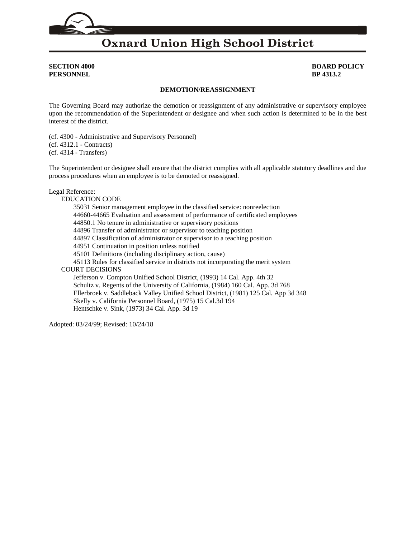# **Oxnard Union High School District**

**PERSONNEL BP 4313.2**

**SECTION 4000 BOARD POLICY**

## **DEMOTION/REASSIGNMENT**

The Governing Board may authorize the demotion or reassignment of any administrative or supervisory employee upon the recommendation of the Superintendent or designee and when such action is determined to be in the best interest of the district.

(cf. [4300](http://gamutonline.net/displayPolicy/315741/4) - Administrative and Supervisory Personnel) (cf. [4312.1](http://gamutonline.net/displayPolicy/1075006/4) - Contracts) (cf. [4314](http://gamutonline.net/displayPolicy/170840/4) - Transfers)

The Superintendent or designee shall ensure that the district complies with all applicable statutory deadlines and due process procedures when an employee is to be demoted or reassigned.

#### Legal Reference:

EDUCATION CODE [35031](http://gamutonline.net/displayPolicy/131362/4) Senior management employee in the classified service: nonreelection [44660](http://gamutonline.net/displayPolicy/130839/4)[-44665](http://gamutonline.net/displayPolicy/130842/4) Evaluation and assessment of performance of certificated employees [44850.1](http://gamutonline.net/displayPolicy/130960/4) No tenure in administrative or supervisory positions [44896](http://gamutonline.net/displayPolicy/130993/4) Transfer of administrator or supervisor to teaching position [44897](http://gamutonline.net/displayPolicy/130994/4) Classification of administrator or supervisor to a teaching position [44951](http://gamutonline.net/displayPolicy/131056/4) Continuation in position unless notified [45101](http://gamutonline.net/displayPolicy/131752/4) Definitions (including disciplinary action, cause) [45113](http://gamutonline.net/displayPolicy/131768/4) Rules for classified service in districts not incorporating the merit system COURT DECISIONS Jefferson v. Compton Unified School District, (1993) 14 Cal. App. 4th 32 Schultz v. Regents of the University of California, (1984) 160 Cal. App. 3d 768 Ellerbroek v. Saddleback Valley Unified School District, (1981) 125 Cal. App 3d 348 Skelly v. California Personnel Board, (1975) 15 Cal.3d 194 Hentschke v. Sink, (1973) 34 Cal. App. 3d 19

Adopted: 03/24/99; Revised: 10/24/18